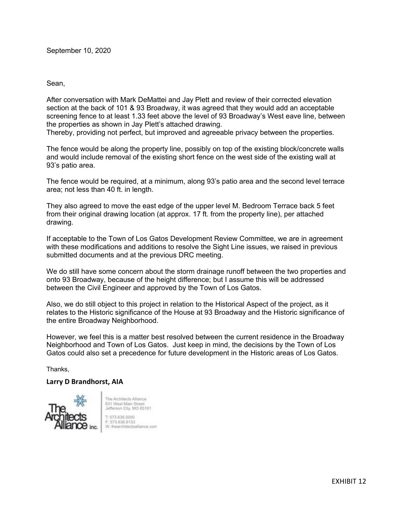## Sean,

After conversation with Mark DeMattei and Jay Plett and review of their corrected elevation section at the back of 101 & 93 Broadway, it was agreed that they would add an acceptable screening fence to at least 1.33 feet above the level of 93 Broadway's West eave line, between the properties as shown in Jay Plett's attached drawing.

Thereby, providing not perfect, but improved and agreeable privacy between the properties.

The fence would be along the property line, possibly on top of the existing block/concrete walls and would include removal of the existing short fence on the west side of the existing wall at 93's patio area.

The fence would be required, at a minimum, along 93's patio area and the second level terrace area; not less than 40 ft. in length.

They also agreed to move the east edge of the upper level M. Bedroom Terrace back 5 feet from their original drawing location (at approx. 17 ft. from the property line), per attached drawing.

If acceptable to the Town of Los Gatos Development Review Committee, we are in agreement with these modifications and additions to resolve the Sight Line issues, we raised in previous submitted documents and at the previous DRC meeting.

We do still have some concern about the storm drainage runoff between the two properties and onto 93 Broadway, because of the height difference; but I assume this will be addressed between the Civil Engineer and approved by the Town of Los Gatos.

Also, we do still object to this project in relation to the Historical Aspect of the project, as it relates to the Historic significance of the House at 93 Broadway and the Historic significance of the entire Broadway Neighborhood.

However, we feel this is a matter best resolved between the current residence in the Broadway Neighborhood and Town of Los Gatos. Just keep in mind, the decisions by the Town of Los Gatos could also set a precedence for future development in the Historic areas of Los Gatos.

Thanks,

## **Larry D Brandhorst, AIA**



The Architects Alliance 631 West Main Street<br>Jefferson City, MO 65101 1:573.636.6000 F: 573.636.6133 W: thearchitectsalliance.com